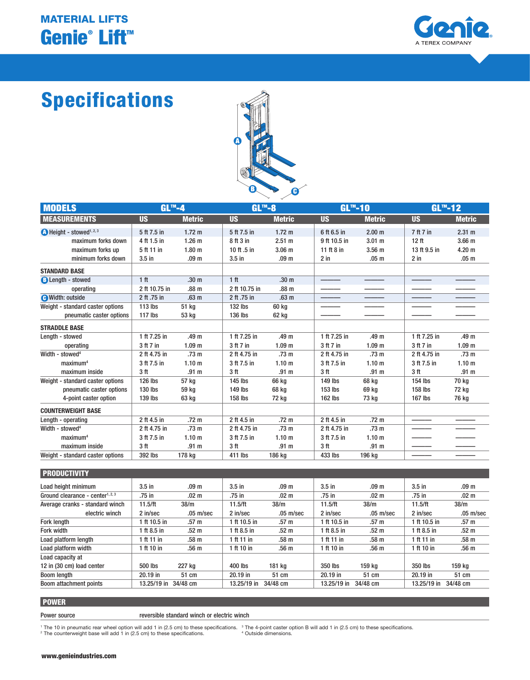## Genie® Lift™ MATERIAL LIFTS



# Specifications



| <b>MODELS</b>                                | $GL^m-4$        |                   | $GLm-8$         |                   |                 | $GLm-10$          |                  | $GLm - 12$        |  |
|----------------------------------------------|-----------------|-------------------|-----------------|-------------------|-----------------|-------------------|------------------|-------------------|--|
| <b>MEASUREMENTS</b>                          | <b>US</b>       | <b>Metric</b>     | <b>US</b>       | <b>Metric</b>     | <b>US</b>       | <b>Metric</b>     | <b>US</b>        | <b>Metric</b>     |  |
| $\bullet$ Height - stowed <sup>1, 2, 3</sup> | 5 ft 7.5 in     | $1.72 \text{ m}$  | 5 ft 7.5 in     | $1.72 \text{ m}$  | 6 ft 6.5 in     | 2.00 <sub>m</sub> | 7 ft 7 in        | $2.31 \text{ m}$  |  |
| maximum forks down                           | 4 ft 1.5 in     | $1.26$ m          | 8 ft 3 in       | 2.51 m            | 9 ft 10.5 in    | $3.01$ m          | 12 <sub>ft</sub> | 3.66 <sub>m</sub> |  |
| maximum forks up                             | 5 ft 11 in      | 1.80 <sub>m</sub> | 10 ft .5 in     | 3.06 <sub>m</sub> | 11 ft 8 in      | 3.56 <sub>m</sub> | 13 ft 9.5 in     | 4.20 <sub>m</sub> |  |
| minimum forks down                           | $3.5$ in        | .09 <sub>m</sub>  | $3.5$ in        | .09 <sub>m</sub>  | $2$ in          | .05 <sub>m</sub>  | $2$ in           | .05 <sub>m</sub>  |  |
| <b>STANDARD BASE</b>                         |                 |                   |                 |                   |                 |                   |                  |                   |  |
| <b>B</b> Length - stowed                     | 1 <sup>ft</sup> | .30 <sub>m</sub>  | 1 <sub>ft</sub> | .30 <sub>m</sub>  |                 |                   |                  |                   |  |
| operating                                    | 2 ft 10.75 in   | .88 <sub>m</sub>  | 2 ft 10.75 in   | .88 m             |                 |                   |                  |                   |  |
| <b>O</b> Width: outside                      | 2 ft .75 in     | .63 <sub>m</sub>  | 2 ft .75 in     | .63 <sub>m</sub>  |                 |                   |                  |                   |  |
| Weight - standard caster options             | 113 lbs         | 51 kg             | 132 lbs         | 60 kg             |                 |                   |                  |                   |  |
| pneumatic caster options                     | $117$ lbs       | 53 kg             | 136 lbs         | 62 kg             |                 |                   |                  |                   |  |
| <b>STRADDLE BASE</b>                         |                 |                   |                 |                   |                 |                   |                  |                   |  |
| Lenath - stowed                              | 1 ft 7.25 in    | .49 m             | 1 ft 7.25 in    | .49 m             | 1 ft 7.25 in    | .49 m             | 1 ft 7.25 in     | .49 m             |  |
| operating                                    | 3 ft 7 in       | 1.09 <sub>m</sub> | 3 ft 7 in       | 1.09 <sub>m</sub> | 3 ft 7 in       | 1.09 <sub>m</sub> | 3 ft 7 in        | 1.09 <sub>m</sub> |  |
| Width - stowed <sup>4</sup>                  | 2 ft 4.75 in    | .73 <sub>m</sub>  | 2 ft 4.75 in    | .73 <sub>m</sub>  | 2 ft 4.75 in    | .73 <sub>m</sub>  | 2 ft 4.75 in     | .73 <sub>m</sub>  |  |
| maximum <sup>4</sup>                         | 3 ft 7.5 in     | 1.10 <sub>m</sub> | 3 ft 7.5 in     | 1.10 <sub>m</sub> | 3 ft 7.5 in     | 1.10 <sub>m</sub> | 3 ft 7.5 in      | 1.10 <sub>m</sub> |  |
| maximum inside                               | 3 <sub>ft</sub> | .91 <sub>m</sub>  | 3 <sub>ft</sub> | .91 <sub>m</sub>  | 3 <sub>ft</sub> | .91 <sub>m</sub>  | 3 <sub>ft</sub>  | .91 <sub>m</sub>  |  |
| Weight - standard caster options             | 126 lbs         | 57 kg             | 145 lbs         | 66 ka             | 149 lbs         | 68 kg             | 154 lbs          | 70 kg             |  |
| pneumatic caster options                     | 130 lbs         | 59 kg             | 149 lbs         | 68 ka             | 153 lbs         | 69 kg             | 158 lbs          | 72 kg             |  |
| 4-point caster option                        | 139 lbs         | 63 kg             | 158 lbs         | 72 kg             | $162$ lbs       | 73 kg             | <b>167 lbs</b>   | 76 kg             |  |
| <b>COUNTERWEIGHT BASE</b>                    |                 |                   |                 |                   |                 |                   |                  |                   |  |
| Length - operating                           | 2 ft 4.5 in     | .72 <sub>m</sub>  | 2 ft 4.5 in     | .72 <sub>m</sub>  | 2 ft 4.5 in     | .72 <sub>m</sub>  |                  |                   |  |
| Width - stowed <sup>4</sup>                  | 2 ft 4.75 in    | .73 <sub>m</sub>  | 2 ft 4.75 in    | .73 <sub>m</sub>  | 2 ft 4.75 in    | .73 <sub>m</sub>  |                  |                   |  |
| maximum <sup>4</sup>                         | 3 ft 7.5 in     | 1.10 <sub>m</sub> | 3 ft 7.5 in     | 1.10 <sub>m</sub> | 3 ft 7.5 in     | 1.10 <sub>m</sub> |                  |                   |  |
| maximum inside                               | 3 <sub>ft</sub> | .91 <sub>m</sub>  | 3 <sub>ft</sub> | .91 <sub>m</sub>  | 3 <sub>ft</sub> | .91 <sub>m</sub>  |                  |                   |  |
| Weight - standard caster options             | 392 lbs         | 178 ka            | 411 lbs         | 186 kg            | 433 lbs         | 196 kg            |                  |                   |  |
|                                              |                 |                   |                 |                   |                 |                   |                  |                   |  |

| <b>PRODUCTIVITY</b>                          |                      |                  |                |                  |                   |                     |                |                  |
|----------------------------------------------|----------------------|------------------|----------------|------------------|-------------------|---------------------|----------------|------------------|
| Load height minimum                          | $3.5$ in             | .09 <sub>m</sub> | $3.5$ in       | .09 <sub>m</sub> | 3.5 <sub>in</sub> | .09 <sub>m</sub>    | $3.5$ in       | .09 <sub>m</sub> |
| Ground clearance - center <sup>1, 2, 3</sup> | .75 in               | .02 <sub>m</sub> | $.75$ in       | .02 <sub>m</sub> | .75 in            | .02 <sub>m</sub>    | .75 in         | .02 <sub>m</sub> |
| Average cranks - standard winch              | 11.5/ft              | 38/m             | 11.5/ft        | 38/m             | 11.5/ft           | 38/m                | 11.5/ft        | 38/m             |
| electric winch                               | 2 in/sec             | $.05 \; m/sec$   | 2 in/sec       | $.05 \; m/sec$   | 2 in/sec          | $.05 \text{ m/sec}$ | $2$ in/sec     | $.05 \; m/sec$   |
| <b>Fork length</b>                           | 1 ft 10.5 in         | .57 <sub>m</sub> | 1 ft $10.5$ in | .57 <sub>m</sub> | 1 ft 10.5 in      | .57 <sub>m</sub>    | 1 ft $10.5$ in | .57 <sub>m</sub> |
| Fork width                                   | 1 ft 8.5 in          | .52 <sub>m</sub> | 1 ft $8.5$ in  | .52 <sub>m</sub> | 1 ft 8.5 in       | .52 <sub>m</sub>    | 1 ft 8.5 in    | .52 <sub>m</sub> |
| Load platform length                         | 1 ft 11 in           | .58 <sub>m</sub> | 1 ft 11 in     | .58 m            | 1 ft 11 in        | .58 <sub>m</sub>    | 1 ft 11 in     | .58 m            |
| Load platform width                          | 1 ft 10 in           | .56 <sub>m</sub> | 1 ft 10 in     | .56 <sub>m</sub> | 1 ft 10 in        | .56 <sub>m</sub>    | 1 ft 10 in     | .56 <sub>m</sub> |
| Load capacity at                             |                      |                  |                |                  |                   |                     |                |                  |
| 12 in (30 cm) load center                    | 500 lbs              | 227 kg           | 400 lbs        | 181 kg           | 350 lbs           | 159 kg              | 350 lbs        | 159 kg           |
| Boom length                                  | $20.19$ in           | 51 cm            | $20.19$ in     | 51 cm            | $20.19$ in        | 51 cm               | $20.19$ in     | 51 cm            |
| Boom attachment points                       | 13.25/19 in 34/48 cm |                  | $13.25/19$ in  | 34/48 cm         | 13.25/19 in       | 34/48 cm            | $13.25/19$ in  | 34/48 cm         |

## POWER

Power source **reversible standard winch or electric winch** 

<sup>1</sup> The 10 in pneumatic rear wheel option will add 1 in (2.5 cm) to these specifications. <sup>3</sup> The 4-point caster option B will add 1 in (2.5 cm) to these specifications.<br><sup>2</sup> The counterweight base will add 1 in (2.5 cm) to